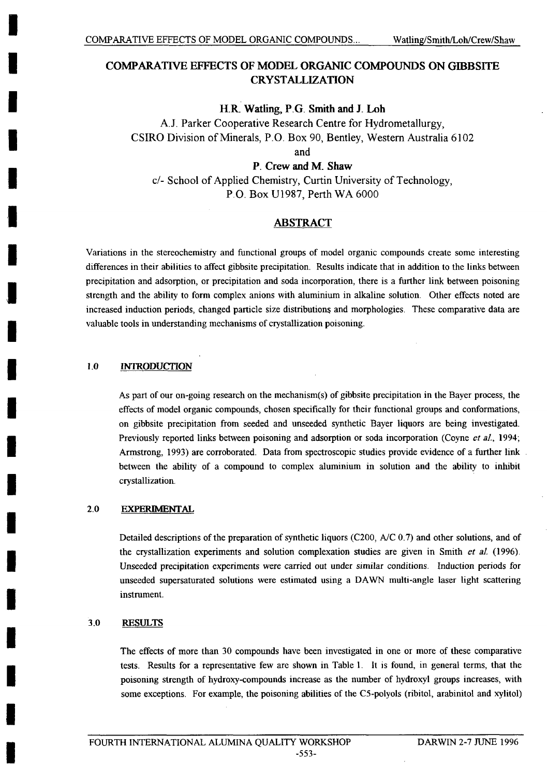# **COMPARATIVE EFFECTS OF MODEL ORGANIC COMPOUNDS ON GIBB SITE CRYSTALLIZATION**

### **H.R. Watling, P.G. Smith and J. Loh**

**A.J.** Parker Cooperative Research Centre for Hydrometallurgy, CSIRO Division of Minerals, P.O. Box **90,** Bentley, Western Australia **6102**

and

P. **Crew and** M. Shaw

c/- School of Applied Chemistry, Curtin University of Technology, P.O. Box **U 1987,** Perth WA **6000**

## **ABSTRACT**

Variations in the stereochemistry and functional groups of model organic compounds create some interesting differences in their abilities to affect gibbsite precipitation. Results indicate that in addition to the links between precipitation and adsorption, or precipitation and soda incorporation, there is a further link between poisoning strength and the ability to form complex anions with aluminium in alkaline solution. Other effects noted are increased induction periods, changed particle size distributions and morphologies. These comparative data are valuable tools in understanding mechanisms of crystallization poisoning.

#### **1.0 INTRODUCTION**

As part of our on-going research on the mechanism(s) of gibbsite precipitation in the Bayer process, the effects of model organic compounds, chosen specifically for their functional groups and conformations, on gibbsite precipitation from seeded and unseeded synthetic Bayer liquors are being investigated. Previously reported links between poisoning and adsorption or soda incorporation (Coyne *et aL,* 1994; Armstrong, **1993)** are corroborated. Data from spectroscopic studies provide evidence of a further link between the ability of a compound to complex aluminium in solution and the ability to inhibit crystallization.

#### 2.0 EXPERIMENTAL

Detailed descriptions of the preparation of synthetic liquors **(C200, A/C 0.7)** and other solutions, and of the crystallization experiments and solution complexation studies are given in Smith *et a].* **(1996).** Unseeded precipitation experiments were carried out under similar conditions. Induction periods for unseeded supersaturated solutions were estimated using a **DAWN** multi-angle laser light scattering instrument.

## **3.0 RESULTS**

The effects of more than **30** compounds have been investigated in one or more of these comparative tests. Results for a representative few are shown in Table **1.** It is found, in general terms, that the poisoning strength of hydroxy-compounds increase as the number of hydroxyl groups increases, with some exceptions. For example, the poisoning abilities of the C5-polyols (ribitol, arabinitol and xylitol)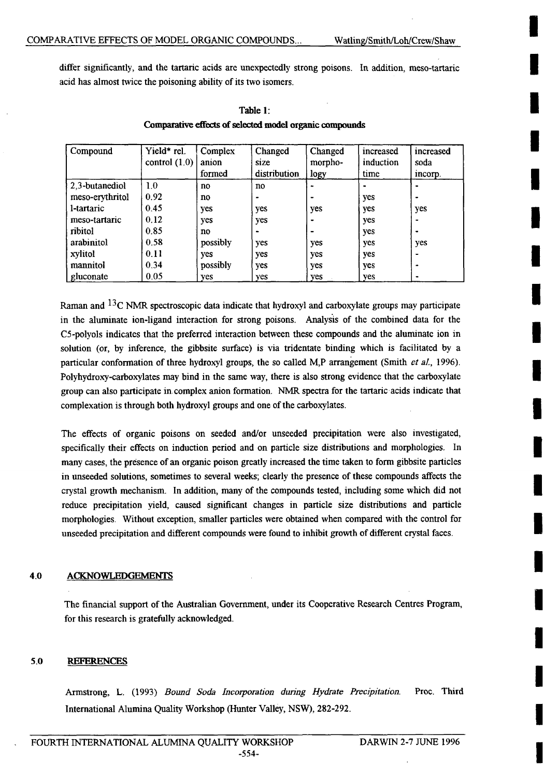**I**

**I**

**I**

**I**

**I**

**I**

**I**

**I**

**I**

**I**

**I**

**I**

**I**

**I**

**I**

**I**

**I**

**I**

**I**

**I**

differ significantly, and the tartaric acids are unexpectedly strong poisons. In addition, meso-tartanic acid has almost twice the poisoning ability of its two isomers.

| Compound        | Yield* rel.     | Complex  | Changed      | Changed                  | increased | increased |
|-----------------|-----------------|----------|--------------|--------------------------|-----------|-----------|
|                 | control $(1.0)$ | anion    | size         | morpho-                  | induction | soda      |
|                 |                 | formed   | distribution | logy                     | time      | incorp.   |
| 2,3-butanediol  | 1.0             | no       | no           |                          |           |           |
| meso-erythritol | 0.92            | no       |              |                          | yes       |           |
| l-tartaric      | 0.45            | yes      | yes          | yes                      | yes       | yes       |
| meso-tartaric   | 0.12            | yes      | yes          | $\bullet$                | yes       |           |
| ribitol         | 0.85            | no       |              | $\overline{\phantom{0}}$ | yes       |           |
| arabinitol      | 0.58            | possibly | yes          | yes                      | yes       | yes       |
| xylitol         | 0.11            | yes      | yes          | yes                      | yes       | ٠         |
| mannitol        | 0.34            | possibly | yes          | yes                      | yes       |           |
| gluconate       | 0.05            | yes      | <b>ves</b>   | yes                      | yes       |           |

**Table 1: Compaxative effects of selected model organic compounds**

Raman and **13C NMIR** spectroscopic data indicate that hydroxyl and carboxylate groups may participate in the aluminate ion-ligand interaction for strong poisons. Analysis of the combined data for the C5-polyols indicates that the preferred interaction between these compounds and the alununate ion in solution (or, **by** inference, the gibbsite surface) is via tridentate binding which is facilitated **by** a particular conformation of three hydroxyl groups, the so called M,P arrangement (Smith *et al.*, 1996). Polyhydroxy-carboxylates may bind in the same way, there is also strong evidence that the carboxylate group can also participate in complex anion formation. NMR spectra for the tartaric acids indicate that complexation is through both hydroxyl groups and one of the carboxylates.

The effects of organic poisons on seeded and/or unseeded precipitation were also investigated, specifically their effects on induction period and on particle size distributions and morphologies. In many cases, the presence of an organic poison greatly increased the time taken to form gibbsite particles in unseeded solutions, sometimes to several weeks; clearly the presence of these compounds affects the crystal growth mechanism. In addition, many of the compounds tested, including some which did not reduce precipitation yield, caused significant changes in particle size distributions and particle morphologies. Without exception, smaller particles were obtained when compared with the control for unseeded precipitation and different compounds were found to inhibit growth of different crystal faces.

#### **4.0 ACKNOWLEDGEMEfNTS**

The financial support of the Australian Government, under its Cooperative Research Centres Program, for this research is gratefully acknowledged.

#### **5.0 RFRENCES**

Armstrong, L. **(1993)** *Bound Soda Incorporation during Hydrate Precipitation.* **Proc. Third** International Alumina Quality Workshop (Hunter Valley, **NSW), 282-2 92.**